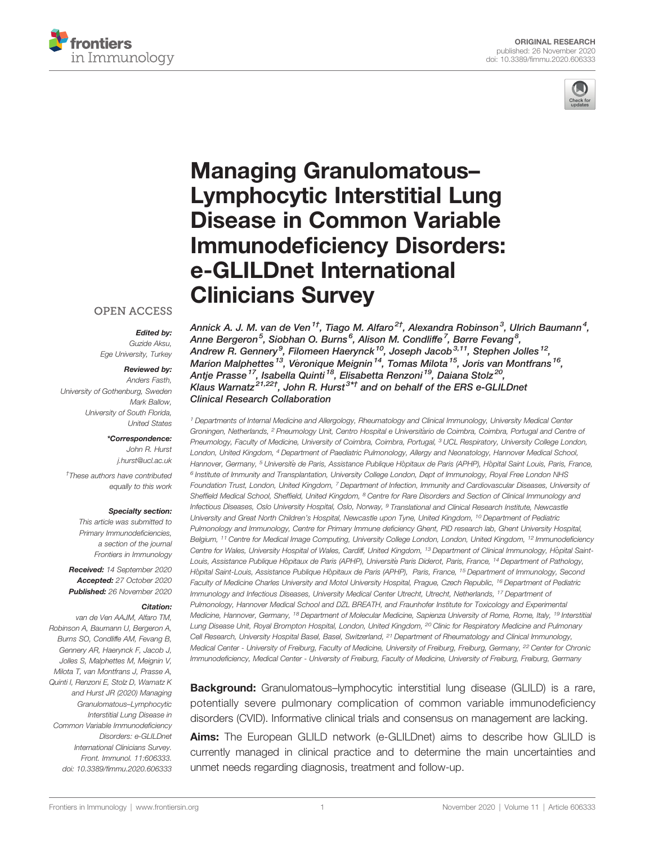



# [Managing Granulomatous](https://www.frontiersin.org/articles/10.3389/fimmu.2020.606333/full)– [Lymphocytic Interstitial Lung](https://www.frontiersin.org/articles/10.3389/fimmu.2020.606333/full) [Disease in Common Variable](https://www.frontiersin.org/articles/10.3389/fimmu.2020.606333/full) Immunodefi[ciency Disorders:](https://www.frontiersin.org/articles/10.3389/fimmu.2020.606333/full) [e-GLILDnet International](https://www.frontiersin.org/articles/10.3389/fimmu.2020.606333/full) [Clinicians Survey](https://www.frontiersin.org/articles/10.3389/fimmu.2020.606333/full)

## **OPEN ACCESS**

#### Edited by:

Guzide Aksu, Ege University, Turkey

#### Reviewed by:

Anders Fasth, University of Gothenburg, Sweden Mark Ballow, University of South Florida, United States

#### \*Correspondence:

John R. Hurst [j.hurst@ucl.ac.uk](mailto:j.hurst@ucl.ac.uk)

† These authors have contributed equally to this work

#### Specialty section:

This article was submitted to Primary Immunodeficiencies, a section of the journal Frontiers in Immunology

Received: 14 September 2020 Accepted: 27 October 2020 Published: 26 November 2020

#### Citation:

van de Ven AAJM, Alfaro TM, Robinson A, Baumann U, Bergeron A, Burns SO, Condliffe AM, Fevang B, Gennery AR, Haerynck F, Jacob J, Jolles S, Malphettes M, Meignin V, Milota T, van Montfrans J, Prasse A, Quinti I, Renzoni E, Stolz D, Warnatz K and Hurst JR (2020) Managing Granulomatous–Lymphocytic Interstitial Lung Disease in Common Variable Immunodeficiency Disorders: e-GLILDnet International Clinicians Survey. Front. Immunol. 11:606333. [doi: 10.3389/fimmu.2020.606333](https://doi.org/10.3389/fimmu.2020.606333)

Annick A. J. M. van de Ven $^{\text{1}\dagger}$ , Tiago M. Alfaro $^{\text{2}\dagger}$ , Alexandra Robinson $^{\text{3}}$ , Ulrich Baumann $^{\text{4}}$ , Anne Bergeron<sup>5</sup>, Siobhan O. Burns<sup>6</sup>, Alison M. Condliffe<sup>7</sup>, Børre Fevang<sup>8</sup>, Andrew R. Gennery<sup>9</sup>, Filomeen Haerynck <sup>10</sup>, Joseph Jacob 3,11, Stephen Jolles <sup>12</sup>, Marion Malphettes<sup>13</sup>, Véronique Meignin<sup>14</sup>, Tomas Milota<sup>15</sup>, Joris van Montfrans<sup>16</sup>, Antje Prasse<sup>17</sup>, Isabella Quinti<sup>18</sup>, Elisabetta Renzoni<sup>19</sup>, Daiana Stolz<sup>20</sup>, Klaus Warnatz<sup>21,22†</sup>, John R. Hurst<sup>3\*†</sup> and on behalf of the ERS e-GLILDnet Clinical Research Collaboration

<sup>1</sup> Departments of Internal Medicine and Allergology, Rheumatology and Clinical Immunology, University Medical Center Groningen, Netherlands, <sup>2</sup> Pneumology Unit, Centro Hospital e Universitário de Coimbra, Coimbra, Portugal and Centre of Pneumology, Faculty of Medicine, University of Coimbra, Coimbra, Portugal, <sup>3</sup> UCL Respiratory, University College London, London, United Kingdom, <sup>4</sup> Department of Paediatric Pulmonology, Allergy and Neonatology, Hannover Medical School, Hannover, Germany, <sup>5</sup> Université de Paris, Assistance Publique Hôpitaux de Paris (APHP), Hôpital Saint Louis, Paris, France, <sup>6</sup> Institute of Immunity and Transplantation, University College London, Dept of Immunology, Royal Free London NHS Foundation Trust, London, United Kingdom, <sup>7</sup> Department of Infection, Immunity and Cardiovascular Diseases, University of Sheffield Medical School, Sheffield, United Kingdom, <sup>8</sup> Centre for Rare Disorders and Section of Clinical Immunology and Infectious Diseases, Oslo University Hospital, Oslo, Norway, <sup>9</sup> Translational and Clinical Research Institute, Newcastle University and Great North Children's Hospital, Newcastle upon Tyne, United Kingdom, <sup>10</sup> Department of Pediatric Pulmonology and Immunology, Centre for Primary Immune deficiency Ghent, PID research lab, Ghent University Hospital, Belgium, <sup>11</sup> Centre for Medical Image Computing, University College London, London, United Kingdom, <sup>12</sup> Immunodeficiency Centre for Wales, University Hospital of Wales, Cardiff, United Kingdom, <sup>13</sup> Department of Clinical Immunology, Hôpital Saint-Louis, Assistance Publique Hôpitaux de Paris (APHP), Université Paris Diderot, Paris, France, <sup>14</sup> Department of Pathology, Hôpital Saint-Louis, Assistance Publique Hôpitaux de Paris (APHP), Paris, France, <sup>15</sup> Department of Immunology, Second Faculty of Medicine Charles University and Motol University Hospital, Prague, Czech Republic, <sup>16</sup> Department of Pediatric Immunology and Infectious Diseases, University Medical Center Utrecht, Utrecht, Netherlands, <sup>17</sup> Department of Pulmonology, Hannover Medical School and DZL BREATH, and Fraunhofer Institute for Toxicology and Experimental Medicine, Hannover, Germany, <sup>18</sup> Department of Molecular Medicine, Sapienza University of Rome, Rome, Italy, <sup>19</sup> Interstitial Lung Disease Unit, Royal Brompton Hospital, London, United Kingdom, <sup>20</sup> Clinic for Respiratory Medicine and Pulmonary Cell Research, University Hospital Basel, Basel, Switzerland, <sup>21</sup> Department of Rheumatology and Clinical Immunology, Medical Center - University of Freiburg, Faculty of Medicine, University of Freiburg, Freiburg, Germany, <sup>22</sup> Center for Chronic Immunodeficiency, Medical Center - University of Freiburg, Faculty of Medicine, University of Freiburg, Freiburg, Germany

**Background:** Granulomatous–lymphocytic interstitial lung disease (GLILD) is a rare, potentially severe pulmonary complication of common variable immunodeficiency disorders (CVID). Informative clinical trials and consensus on management are lacking.

Aims: The European GLILD network (e-GLILDnet) aims to describe how GLILD is currently managed in clinical practice and to determine the main uncertainties and unmet needs regarding diagnosis, treatment and follow-up.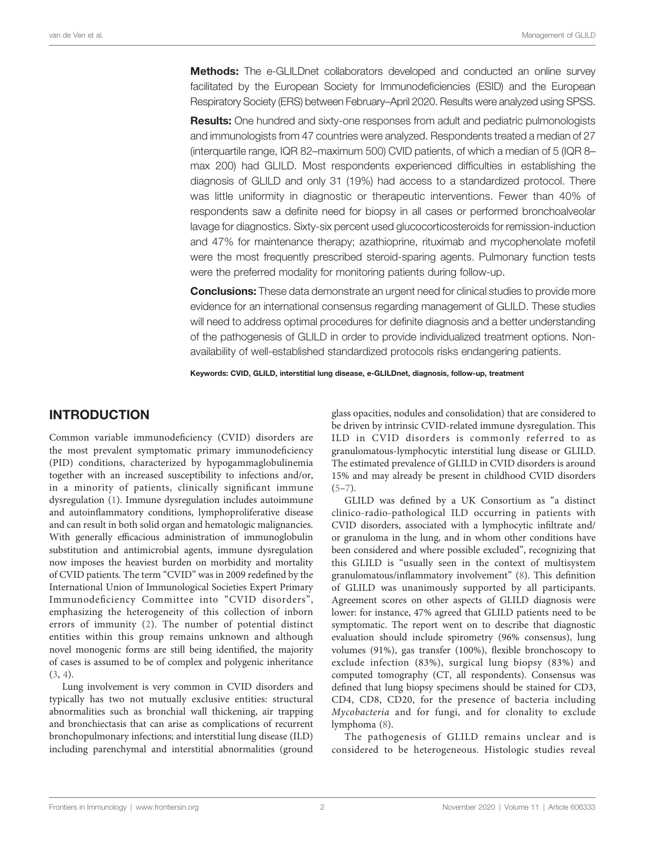**Methods:** The e-GLILDnet collaborators developed and conducted an online survey facilitated by the European Society for Immunodeficiencies (ESID) and the European Respiratory Society (ERS) between February–April 2020. Results were analyzed using SPSS.

**Results:** One hundred and sixty-one responses from adult and pediatric pulmonologists and immunologists from 47 countries were analyzed. Respondents treated a median of 27 (interquartile range, IQR 82–maximum 500) CVID patients, of which a median of 5 (IQR 8– max 200) had GLILD. Most respondents experienced difficulties in establishing the diagnosis of GLILD and only 31 (19%) had access to a standardized protocol. There was little uniformity in diagnostic or therapeutic interventions. Fewer than 40% of respondents saw a definite need for biopsy in all cases or performed bronchoalveolar lavage for diagnostics. Sixty-six percent used glucocorticosteroids for remission-induction and 47% for maintenance therapy; azathioprine, rituximab and mycophenolate mofetil were the most frequently prescribed steroid-sparing agents. Pulmonary function tests were the preferred modality for monitoring patients during follow-up.

**Conclusions:** These data demonstrate an urgent need for clinical studies to provide more evidence for an international consensus regarding management of GLILD. These studies will need to address optimal procedures for definite diagnosis and a better understanding of the pathogenesis of GLILD in order to provide individualized treatment options. Nonavailability of well-established standardized protocols risks endangering patients.

Keywords: CVID, GLILD, interstitial lung disease, e-GLILDnet, diagnosis, follow-up, treatment

## INTRODUCTION

Common variable immunodeficiency (CVID) disorders are the most prevalent symptomatic primary immunodeficiency (PID) conditions, characterized by hypogammaglobulinemia together with an increased susceptibility to infections and/or, in a minority of patients, clinically significant immune dysregulation ([1\)](#page-7-0). Immune dysregulation includes autoimmune and autoinflammatory conditions, lymphoproliferative disease and can result in both solid organ and hematologic malignancies. With generally efficacious administration of immunoglobulin substitution and antimicrobial agents, immune dysregulation now imposes the heaviest burden on morbidity and mortality of CVID patients. The term "CVID" was in 2009 redefined by the International Union of Immunological Societies Expert Primary Immunodeficiency Committee into "CVID disorders", emphasizing the heterogeneity of this collection of inborn errors of immunity ([2](#page-7-0)). The number of potential distinct entities within this group remains unknown and although novel monogenic forms are still being identified, the majority of cases is assumed to be of complex and polygenic inheritance ([3](#page-7-0), [4\)](#page-7-0).

Lung involvement is very common in CVID disorders and typically has two not mutually exclusive entities: structural abnormalities such as bronchial wall thickening, air trapping and bronchiectasis that can arise as complications of recurrent bronchopulmonary infections; and interstitial lung disease (ILD) including parenchymal and interstitial abnormalities (ground glass opacities, nodules and consolidation) that are considered to be driven by intrinsic CVID-related immune dysregulation. This ILD in CVID disorders is commonly referred to as granulomatous-lymphocytic interstitial lung disease or GLILD. The estimated prevalence of GLILD in CVID disorders is around 15% and may already be present in childhood CVID disorders  $(5-7)$  $(5-7)$  $(5-7)$  $(5-7)$ .

GLILD was defined by a UK Consortium as "a distinct clinico-radio-pathological ILD occurring in patients with CVID disorders, associated with a lymphocytic infiltrate and/ or granuloma in the lung, and in whom other conditions have been considered and where possible excluded", recognizing that this GLILD is "usually seen in the context of multisystem granulomatous/inflammatory involvement" [\(8\)](#page-8-0). This definition of GLILD was unanimously supported by all participants. Agreement scores on other aspects of GLILD diagnosis were lower: for instance, 47% agreed that GLILD patients need to be symptomatic. The report went on to describe that diagnostic evaluation should include spirometry (96% consensus), lung volumes (91%), gas transfer (100%), flexible bronchoscopy to exclude infection (83%), surgical lung biopsy (83%) and computed tomography (CT, all respondents). Consensus was defined that lung biopsy specimens should be stained for CD3, CD4, CD8, CD20, for the presence of bacteria including Mycobacteria and for fungi, and for clonality to exclude lymphoma [\(8\)](#page-8-0).

The pathogenesis of GLILD remains unclear and is considered to be heterogeneous. Histologic studies reveal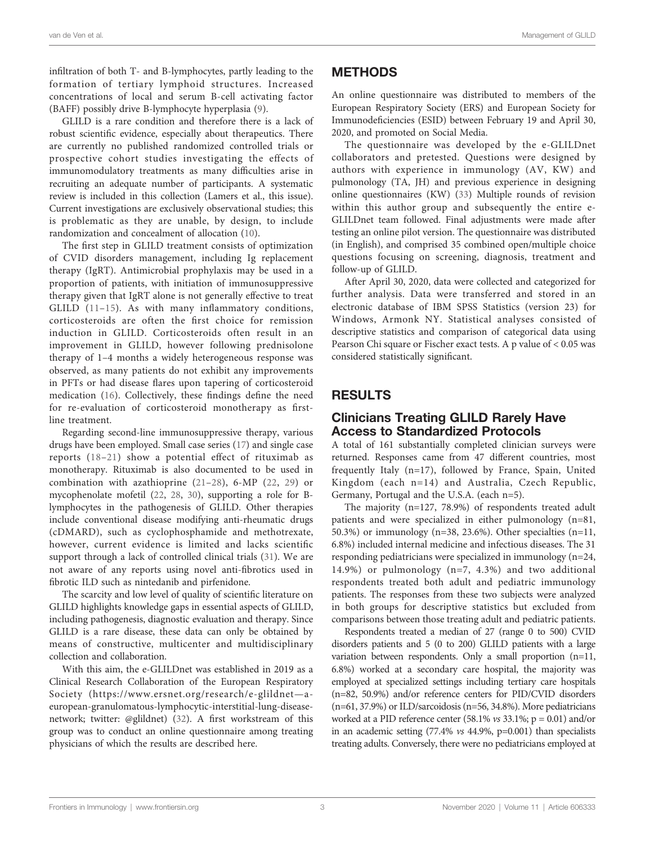infiltration of both T- and B-lymphocytes, partly leading to the formation of tertiary lymphoid structures. Increased concentrations of local and serum B-cell activating factor (BAFF) possibly drive B-lymphocyte hyperplasia ([9](#page-8-0)).

GLILD is a rare condition and therefore there is a lack of robust scientific evidence, especially about therapeutics. There are currently no published randomized controlled trials or prospective cohort studies investigating the effects of immunomodulatory treatments as many difficulties arise in recruiting an adequate number of participants. A systematic review is included in this collection (Lamers et al., this issue). Current investigations are exclusively observational studies; this is problematic as they are unable, by design, to include randomization and concealment of allocation ([10\)](#page-8-0).

The first step in GLILD treatment consists of optimization of CVID disorders management, including Ig replacement therapy (IgRT). Antimicrobial prophylaxis may be used in a proportion of patients, with initiation of immunosuppressive therapy given that IgRT alone is not generally effective to treat GLILD [\(11](#page-8-0)–[15\)](#page-8-0). As with many inflammatory conditions, corticosteroids are often the first choice for remission induction in GLILD. Corticosteroids often result in an improvement in GLILD, however following prednisolone therapy of 1–4 months a widely heterogeneous response was observed, as many patients do not exhibit any improvements in PFTs or had disease flares upon tapering of corticosteroid medication [\(16\)](#page-8-0). Collectively, these findings define the need for re-evaluation of corticosteroid monotherapy as firstline treatment.

Regarding second-line immunosuppressive therapy, various drugs have been employed. Small case series [\(17](#page-8-0)) and single case reports ([18](#page-8-0)–[21](#page-8-0)) show a potential effect of rituximab as monotherapy. Rituximab is also documented to be used in combination with azathioprine ([21](#page-8-0)–[28\)](#page-8-0), 6-MP [\(22,](#page-8-0) [29](#page-8-0)) or mycophenolate mofetil [\(22](#page-8-0), [28,](#page-8-0) [30](#page-8-0)), supporting a role for Blymphocytes in the pathogenesis of GLILD. Other therapies include conventional disease modifying anti-rheumatic drugs (cDMARD), such as cyclophosphamide and methotrexate, however, current evidence is limited and lacks scientific support through a lack of controlled clinical trials ([31\)](#page-8-0). We are not aware of any reports using novel anti-fibrotics used in fibrotic ILD such as nintedanib and pirfenidone.

The scarcity and low level of quality of scientific literature on GLILD highlights knowledge gaps in essential aspects of GLILD, including pathogenesis, diagnostic evaluation and therapy. Since GLILD is a rare disease, these data can only be obtained by means of constructive, multicenter and multidisciplinary collection and collaboration.

With this aim, the e-GLILDnet was established in 2019 as a Clinical Research Collaboration of the European Respiratory Society ([https://www.ersnet.org/research/e-glildnet](https://www.ersnet.org/research/e-glildnet—a-european-granulomatous-lymphocytic-interstitial-lung-disease-network)—a[european-granulomatous-lymphocytic-interstitial-lung-disease](https://www.ersnet.org/research/e-glildnet—a-european-granulomatous-lymphocytic-interstitial-lung-disease-network)[network;](https://www.ersnet.org/research/e-glildnet—a-european-granulomatous-lymphocytic-interstitial-lung-disease-network) twitter: @glildnet) ([32\)](#page-8-0). A first workstream of this group was to conduct an online questionnaire among treating physicians of which the results are described here.

#### **METHODS**

An online questionnaire was distributed to members of the European Respiratory Society (ERS) and European Society for Immunodeficiencies (ESID) between February 19 and April 30, 2020, and promoted on Social Media.

The questionnaire was developed by the e-GLILDnet collaborators and pretested. Questions were designed by authors with experience in immunology (AV, KW) and pulmonology (TA, JH) and previous experience in designing online questionnaires (KW) [\(33\)](#page-8-0) Multiple rounds of revision within this author group and subsequently the entire e-GLILDnet team followed. Final adjustments were made after testing an online pilot version. The questionnaire was distributed (in English), and comprised 35 combined open/multiple choice questions focusing on screening, diagnosis, treatment and follow-up of GLILD.

After April 30, 2020, data were collected and categorized for further analysis. Data were transferred and stored in an electronic database of IBM SPSS Statistics (version 23) for Windows, Armonk NY. Statistical analyses consisted of descriptive statistics and comparison of categorical data using Pearson Chi square or Fischer exact tests. A p value of < 0.05 was considered statistically significant.

# RESULTS

## Clinicians Treating GLILD Rarely Have Access to Standardized Protocols

A total of 161 substantially completed clinician surveys were returned. Responses came from 47 different countries, most frequently Italy (n=17), followed by France, Spain, United Kingdom (each n=14) and Australia, Czech Republic, Germany, Portugal and the U.S.A. (each n=5).

The majority (n=127, 78.9%) of respondents treated adult patients and were specialized in either pulmonology (n=81, 50.3%) or immunology (n=38, 23.6%). Other specialties (n=11, 6.8%) included internal medicine and infectious diseases. The 31 responding pediatricians were specialized in immunology (n=24, 14.9%) or pulmonology (n=7, 4.3%) and two additional respondents treated both adult and pediatric immunology patients. The responses from these two subjects were analyzed in both groups for descriptive statistics but excluded from comparisons between those treating adult and pediatric patients.

Respondents treated a median of 27 (range 0 to 500) CVID disorders patients and 5 (0 to 200) GLILD patients with a large variation between respondents. Only a small proportion (n=11, 6.8%) worked at a secondary care hospital, the majority was employed at specialized settings including tertiary care hospitals (n=82, 50.9%) and/or reference centers for PID/CVID disorders (n=61, 37.9%) or ILD/sarcoidosis (n=56, 34.8%). More pediatricians worked at a PID reference center (58.1%  $vs$  33.1%; p = 0.01) and/or in an academic setting  $(77.4\% \text{ vs } 44.9\%, \text{ p=0.001})$  than specialists treating adults. Conversely, there were no pediatricians employed at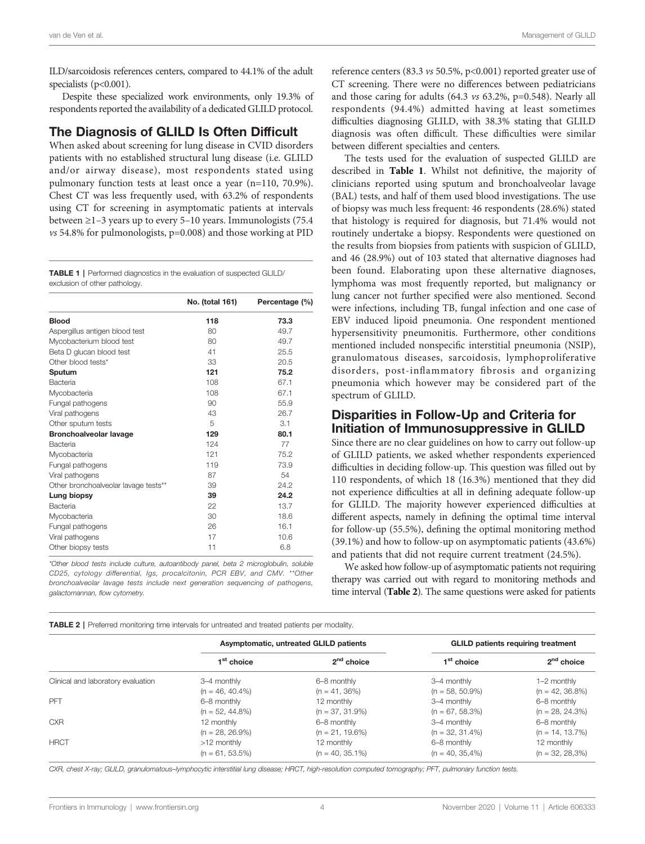ILD/sarcoidosis references centers, compared to 44.1% of the adult specialists (p<0.001).

Despite these specialized work environments, only 19.3% of respondents reported the availability of a dedicated GLILD protocol.

## The Diagnosis of GLILD Is Often Difficult

When asked about screening for lung disease in CVID disorders patients with no established structural lung disease (i.e. GLILD and/or airway disease), most respondents stated using pulmonary function tests at least once a year (n=110, 70.9%). Chest CT was less frequently used, with 63.2% of respondents using CT for screening in asymptomatic patients at intervals between ≥1–3 years up to every 5–10 years. Immunologists (75.4  $\nu s$  54.8% for pulmonologists, p=0.008) and those working at PID

TABLE 1 | Performed diagnostics in the evaluation of suspected GLILD/ exclusion of other pathology.

|                                      | No. (total 161) | Percentage (%) |
|--------------------------------------|-----------------|----------------|
| <b>Blood</b>                         | 118             | 73.3           |
| Aspergillus antigen blood test       | 80              | 49.7           |
| Mycobacterium blood test             | 80              | 49.7           |
| Beta D glucan blood test             | 41              | 25.5           |
| Other blood tests*                   | 33              | 20.5           |
| Sputum                               | 121             | 75.2           |
| Bacteria                             | 108             | 67.1           |
| Mycobacteria                         | 108             | 67.1           |
| Fungal pathogens                     | 90              | 55.9           |
| Viral pathogens                      | 43              | 26.7           |
| Other sputum tests                   | 5               | 3.1            |
| Bronchoalveolar lavage               | 129             | 80.1           |
| Bacteria                             | 124             | 77             |
| Mycobacteria                         | 121             | 75.2           |
| Fungal pathogens                     | 119             | 73.9           |
| Viral pathogens                      | 87              | 54             |
| Other bronchoalveolar lavage tests** | 39              | 24.2           |
| Lung biopsy                          | 39              | 24.2           |
| Bacteria                             | 22              | 13.7           |
| Mycobacteria                         | 30              | 18.6           |
| Fungal pathogens                     | 26              | 16.1           |
| Viral pathogens                      | 17              | 10.6           |
| Other biopsy tests                   | 11              | 6.8            |

\*Other blood tests include culture, autoantibody panel, beta 2 microglobulin, soluble CD25, cytology differential, Igs, procalcitonin, PCR EBV, and CMV. \*\*Other bronchoalveolar lavage tests include next generation sequencing of pathogens, galactomannan, flow cytometry.

reference centers (83.3  $vs$  50.5%, p<0.001) reported greater use of CT screening. There were no differences between pediatricians and those caring for adults (64.3 vs 63.2%, p=0.548). Nearly all respondents (94.4%) admitted having at least sometimes difficulties diagnosing GLILD, with 38.3% stating that GLILD diagnosis was often difficult. These difficulties were similar between different specialties and centers.

The tests used for the evaluation of suspected GLILD are described in Table 1. Whilst not definitive, the majority of clinicians reported using sputum and bronchoalveolar lavage (BAL) tests, and half of them used blood investigations. The use of biopsy was much less frequent: 46 respondents (28.6%) stated that histology is required for diagnosis, but 71.4% would not routinely undertake a biopsy. Respondents were questioned on the results from biopsies from patients with suspicion of GLILD, and 46 (28.9%) out of 103 stated that alternative diagnoses had been found. Elaborating upon these alternative diagnoses, lymphoma was most frequently reported, but malignancy or lung cancer not further specified were also mentioned. Second were infections, including TB, fungal infection and one case of EBV induced lipoid pneumonia. One respondent mentioned hypersensitivity pneumonitis. Furthermore, other conditions mentioned included nonspecific interstitial pneumonia (NSIP), granulomatous diseases, sarcoidosis, lymphoproliferative disorders, post-inflammatory fibrosis and organizing pneumonia which however may be considered part of the spectrum of GLILD.

## Disparities in Follow-Up and Criteria for Initiation of Immunosuppressive in GLILD

Since there are no clear guidelines on how to carry out follow-up of GLILD patients, we asked whether respondents experienced difficulties in deciding follow-up. This question was filled out by 110 respondents, of which 18 (16.3%) mentioned that they did not experience difficulties at all in defining adequate follow-up for GLILD. The majority however experienced difficulties at different aspects, namely in defining the optimal time interval for follow-up (55.5%), defining the optimal monitoring method (39.1%) and how to follow-up on asymptomatic patients (43.6%) and patients that did not require current treatment (24.5%).

We asked how follow-up of asymptomatic patients not requiring therapy was carried out with regard to monitoring methods and time interval (Table 2). The same questions were asked for patients

TABLE 2 | Preferred monitoring time intervals for untreated and treated patients per modality.

|                                    | Asymptomatic, untreated GLILD patients |                    | <b>GLILD patients requiring treatment</b> |                     |
|------------------------------------|----------------------------------------|--------------------|-------------------------------------------|---------------------|
|                                    | 1 <sup>st</sup> choice                 | $2nd$ choice       | 1 <sup>st</sup> choice                    | $2nd$ choice        |
| Clinical and laboratory evaluation | 3-4 monthly                            | 6-8 monthly        | 3-4 monthly                               | 1-2 monthly         |
|                                    | $(n = 46, 40.4\%)$                     | $(n = 41, 36\%)$   | $(n = 58, 50.9\%)$                        | $(n = 42, 36.8\%)$  |
| PFT                                | 6-8 monthly                            | 12 monthly         | 3-4 monthly                               | 6-8 monthly         |
|                                    | $(n = 52, 44.8\%)$                     | $(n = 37, 31.9\%)$ | $(n = 67, 58.3\%)$                        | $(n = 28, 24.3\%)$  |
| <b>CXR</b>                         | 12 monthly                             | 6-8 monthly        | 3-4 monthly                               | 6-8 monthly         |
|                                    | $(n = 28, 26.9\%)$                     | $(n = 21, 19.6\%)$ | $(n = 32, 31.4\%)$                        | $(n = 14, 13.7\%)$  |
| <b>HRCT</b>                        | >12 monthly                            | 12 monthly         | 6-8 monthly                               | 12 monthly          |
|                                    | $(n = 61, 53.5\%)$                     | $(n = 40, 35.1\%)$ | $(n = 40, 35, 4\%)$                       | $(n = 32, 28, 3\%)$ |

CXR, chest X-ray; GLILD, granulomatous–lymphocytic interstitial lung disease; HRCT, high-resolution computed tomography; PFT, pulmonary function tests.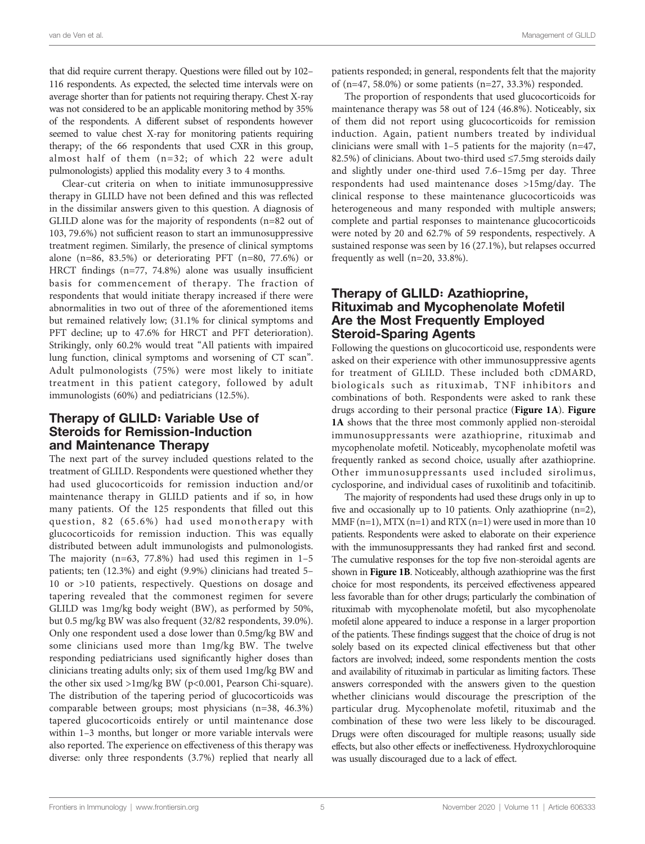that did require current therapy. Questions were filled out by 102– 116 respondents. As expected, the selected time intervals were on average shorter than for patients not requiring therapy. Chest X-ray was not considered to be an applicable monitoring method by 35% of the respondents. A different subset of respondents however seemed to value chest X-ray for monitoring patients requiring therapy; of the 66 respondents that used CXR in this group, almost half of them (n=32; of which 22 were adult pulmonologists) applied this modality every 3 to 4 months.

Clear-cut criteria on when to initiate immunosuppressive therapy in GLILD have not been defined and this was reflected in the dissimilar answers given to this question. A diagnosis of GLILD alone was for the majority of respondents (n=82 out of 103, 79.6%) not sufficient reason to start an immunosuppressive treatment regimen. Similarly, the presence of clinical symptoms alone (n=86, 83.5%) or deteriorating PFT (n=80, 77.6%) or HRCT findings (n=77, 74.8%) alone was usually insufficient basis for commencement of therapy. The fraction of respondents that would initiate therapy increased if there were abnormalities in two out of three of the aforementioned items but remained relatively low; (31.1% for clinical symptoms and PFT decline; up to 47.6% for HRCT and PFT deterioration). Strikingly, only 60.2% would treat "All patients with impaired lung function, clinical symptoms and worsening of CT scan". Adult pulmonologists (75%) were most likely to initiate treatment in this patient category, followed by adult immunologists (60%) and pediatricians (12.5%).

## Therapy of GLILD: Variable Use of Steroids for Remission-Induction and Maintenance Therapy

The next part of the survey included questions related to the treatment of GLILD. Respondents were questioned whether they had used glucocorticoids for remission induction and/or maintenance therapy in GLILD patients and if so, in how many patients. Of the 125 respondents that filled out this question, 82 (65.6%) had used monotherapy with glucocorticoids for remission induction. This was equally distributed between adult immunologists and pulmonologists. The majority (n=63, 77.8%) had used this regimen in 1–5 patients; ten (12.3%) and eight (9.9%) clinicians had treated 5– 10 or >10 patients, respectively. Questions on dosage and tapering revealed that the commonest regimen for severe GLILD was 1mg/kg body weight (BW), as performed by 50%, but 0.5 mg/kg BW was also frequent (32/82 respondents, 39.0%). Only one respondent used a dose lower than 0.5mg/kg BW and some clinicians used more than 1mg/kg BW. The twelve responding pediatricians used significantly higher doses than clinicians treating adults only; six of them used 1mg/kg BW and the other six used >1mg/kg BW (p<0.001, Pearson Chi-square). The distribution of the tapering period of glucocorticoids was comparable between groups; most physicians (n=38, 46.3%) tapered glucocorticoids entirely or until maintenance dose within 1–3 months, but longer or more variable intervals were also reported. The experience on effectiveness of this therapy was diverse: only three respondents (3.7%) replied that nearly all

patients responded; in general, respondents felt that the majority of (n=47, 58.0%) or some patients (n=27, 33.3%) responded.

The proportion of respondents that used glucocorticoids for maintenance therapy was 58 out of 124 (46.8%). Noticeably, six of them did not report using glucocorticoids for remission induction. Again, patient numbers treated by individual clinicians were small with 1–5 patients for the majority (n=47, 82.5%) of clinicians. About two-third used ≤7.5mg steroids daily and slightly under one-third used 7.6–15mg per day. Three respondents had used maintenance doses >15mg/day. The clinical response to these maintenance glucocorticoids was heterogeneous and many responded with multiple answers; complete and partial responses to maintenance glucocorticoids were noted by 20 and 62.7% of 59 respondents, respectively. A sustained response was seen by 16 (27.1%), but relapses occurred frequently as well (n=20, 33.8%).

# Therapy of GLILD: Azathioprine, Rituximab and Mycophenolate Mofetil Are the Most Frequently Employed Steroid-Sparing Agents

Following the questions on glucocorticoid use, respondents were asked on their experience with other immunosuppressive agents for treatment of GLILD. These included both cDMARD, biologicals such as rituximab, TNF inhibitors and combinations of both. Respondents were asked to rank these drugs according to their personal practice ([Figure 1A](#page-5-0)). [Figure](#page-5-0) [1A](#page-5-0) shows that the three most commonly applied non-steroidal immunosuppressants were azathioprine, rituximab and mycophenolate mofetil. Noticeably, mycophenolate mofetil was frequently ranked as second choice, usually after azathioprine. Other immunosuppressants used included sirolimus, cyclosporine, and individual cases of ruxolitinib and tofacitinib.

The majority of respondents had used these drugs only in up to five and occasionally up to 10 patients. Only azathioprine (n=2), MMF (n=1), MTX (n=1) and RTX (n=1) were used in more than 10 patients. Respondents were asked to elaborate on their experience with the immunosuppressants they had ranked first and second. The cumulative responses for the top five non-steroidal agents are shown in [Figure 1B](#page-5-0). Noticeably, although azathioprine was the first choice for most respondents, its perceived effectiveness appeared less favorable than for other drugs; particularly the combination of rituximab with mycophenolate mofetil, but also mycophenolate mofetil alone appeared to induce a response in a larger proportion of the patients. These findings suggest that the choice of drug is not solely based on its expected clinical effectiveness but that other factors are involved; indeed, some respondents mention the costs and availability of rituximab in particular as limiting factors. These answers corresponded with the answers given to the question whether clinicians would discourage the prescription of the particular drug. Mycophenolate mofetil, rituximab and the combination of these two were less likely to be discouraged. Drugs were often discouraged for multiple reasons; usually side effects, but also other effects or ineffectiveness. Hydroxychloroquine was usually discouraged due to a lack of effect.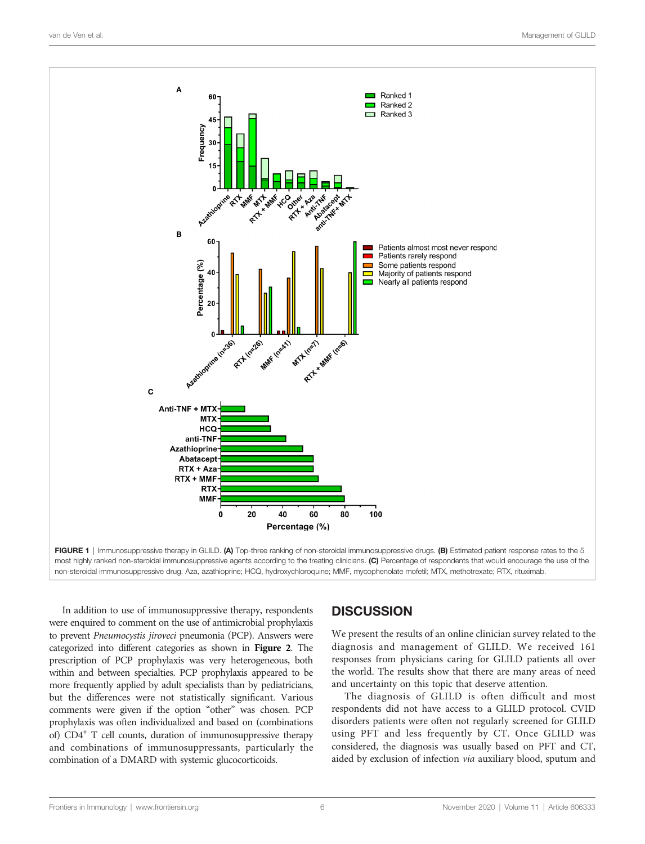<span id="page-5-0"></span>

FIGURE 1 | Immunosuppressive therapy in GLILD. (A) Top-three ranking of non-steroidal immunosuppressive drugs. (B) Estimated patient response rates to the 5 most highly ranked non-steroidal immunosuppressive agents according to the treating clinicians. (C) Percentage of respondents that would encourage the use of the non-steroidal immunosuppressive drug. Aza, azathioprine; HCQ, hydroxychloroquine; MMF, mycophenolate mofetil; MTX, methotrexate; RTX, rituximab.

In addition to use of immunosuppressive therapy, respondents were enquired to comment on the use of antimicrobial prophylaxis to prevent Pneumocystis jiroveci pneumonia (PCP). Answers were categorized into different categories as shown in [Figure 2](#page-6-0). The prescription of PCP prophylaxis was very heterogeneous, both within and between specialties. PCP prophylaxis appeared to be more frequently applied by adult specialists than by pediatricians, but the differences were not statistically significant. Various comments were given if the option "other" was chosen. PCP prophylaxis was often individualized and based on (combinations of)  $CD4^+$  T cell counts, duration of immunosuppressive therapy and combinations of immunosuppressants, particularly the combination of a DMARD with systemic glucocorticoids.

# **DISCUSSION**

We present the results of an online clinician survey related to the diagnosis and management of GLILD. We received 161 responses from physicians caring for GLILD patients all over the world. The results show that there are many areas of need and uncertainty on this topic that deserve attention.

The diagnosis of GLILD is often difficult and most respondents did not have access to a GLILD protocol. CVID disorders patients were often not regularly screened for GLILD using PFT and less frequently by CT. Once GLILD was considered, the diagnosis was usually based on PFT and CT, aided by exclusion of infection via auxiliary blood, sputum and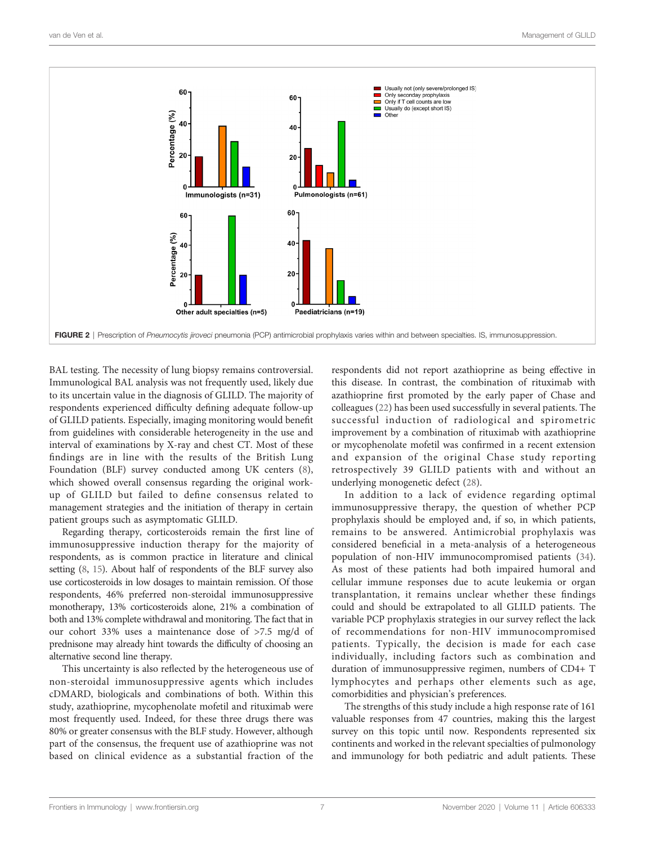<span id="page-6-0"></span>

BAL testing. The necessity of lung biopsy remains controversial. Immunological BAL analysis was not frequently used, likely due to its uncertain value in the diagnosis of GLILD. The majority of respondents experienced difficulty defining adequate follow-up of GLILD patients. Especially, imaging monitoring would benefit from guidelines with considerable heterogeneity in the use and interval of examinations by X-ray and chest CT. Most of these findings are in line with the results of the British Lung Foundation (BLF) survey conducted among UK centers [\(8\)](#page-8-0), which showed overall consensus regarding the original workup of GLILD but failed to define consensus related to management strategies and the initiation of therapy in certain patient groups such as asymptomatic GLILD.

Regarding therapy, corticosteroids remain the first line of immunosuppressive induction therapy for the majority of respondents, as is common practice in literature and clinical setting ([8](#page-8-0), [15](#page-8-0)). About half of respondents of the BLF survey also use corticosteroids in low dosages to maintain remission. Of those respondents, 46% preferred non-steroidal immunosuppressive monotherapy, 13% corticosteroids alone, 21% a combination of both and 13% complete withdrawal and monitoring. The fact that in our cohort 33% uses a maintenance dose of >7.5 mg/d of prednisone may already hint towards the difficulty of choosing an alternative second line therapy.

This uncertainty is also reflected by the heterogeneous use of non-steroidal immunosuppressive agents which includes cDMARD, biologicals and combinations of both. Within this study, azathioprine, mycophenolate mofetil and rituximab were most frequently used. Indeed, for these three drugs there was 80% or greater consensus with the BLF study. However, although part of the consensus, the frequent use of azathioprine was not based on clinical evidence as a substantial fraction of the

respondents did not report azathioprine as being effective in this disease. In contrast, the combination of rituximab with azathioprine first promoted by the early paper of Chase and colleagues ([22\)](#page-8-0) has been used successfully in several patients. The successful induction of radiological and spirometric improvement by a combination of rituximab with azathioprine or mycophenolate mofetil was confirmed in a recent extension and expansion of the original Chase study reporting retrospectively 39 GLILD patients with and without an underlying monogenetic defect ([28\)](#page-8-0).

In addition to a lack of evidence regarding optimal immunosuppressive therapy, the question of whether PCP prophylaxis should be employed and, if so, in which patients, remains to be answered. Antimicrobial prophylaxis was considered beneficial in a meta-analysis of a heterogeneous population of non-HIV immunocompromised patients [\(34\)](#page-8-0). As most of these patients had both impaired humoral and cellular immune responses due to acute leukemia or organ transplantation, it remains unclear whether these findings could and should be extrapolated to all GLILD patients. The variable PCP prophylaxis strategies in our survey reflect the lack of recommendations for non-HIV immunocompromised patients. Typically, the decision is made for each case individually, including factors such as combination and duration of immunosuppressive regimen, numbers of CD4+ T lymphocytes and perhaps other elements such as age, comorbidities and physician's preferences.

The strengths of this study include a high response rate of 161 valuable responses from 47 countries, making this the largest survey on this topic until now. Respondents represented six continents and worked in the relevant specialties of pulmonology and immunology for both pediatric and adult patients. These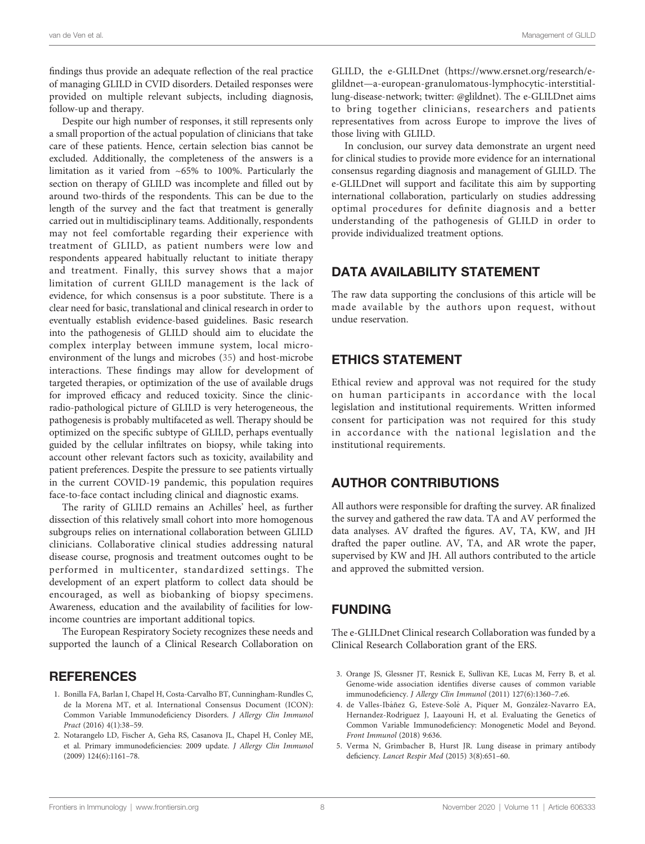<span id="page-7-0"></span>van de Ven et al. Management of GLILD

findings thus provide an adequate reflection of the real practice of managing GLILD in CVID disorders. Detailed responses were provided on multiple relevant subjects, including diagnosis, follow-up and therapy.

Despite our high number of responses, it still represents only a small proportion of the actual population of clinicians that take care of these patients. Hence, certain selection bias cannot be excluded. Additionally, the completeness of the answers is a limitation as it varied from ~65% to 100%. Particularly the section on therapy of GLILD was incomplete and filled out by around two-thirds of the respondents. This can be due to the length of the survey and the fact that treatment is generally carried out in multidisciplinary teams. Additionally, respondents may not feel comfortable regarding their experience with treatment of GLILD, as patient numbers were low and respondents appeared habitually reluctant to initiate therapy and treatment. Finally, this survey shows that a major limitation of current GLILD management is the lack of evidence, for which consensus is a poor substitute. There is a clear need for basic, translational and clinical research in order to eventually establish evidence-based guidelines. Basic research into the pathogenesis of GLILD should aim to elucidate the complex interplay between immune system, local microenvironment of the lungs and microbes [\(35\)](#page-8-0) and host-microbe interactions. These findings may allow for development of targeted therapies, or optimization of the use of available drugs for improved efficacy and reduced toxicity. Since the clinicradio-pathological picture of GLILD is very heterogeneous, the pathogenesis is probably multifaceted as well. Therapy should be optimized on the specific subtype of GLILD, perhaps eventually guided by the cellular infiltrates on biopsy, while taking into account other relevant factors such as toxicity, availability and patient preferences. Despite the pressure to see patients virtually in the current COVID-19 pandemic, this population requires face-to-face contact including clinical and diagnostic exams.

The rarity of GLILD remains an Achilles' heel, as further dissection of this relatively small cohort into more homogenous subgroups relies on international collaboration between GLILD clinicians. Collaborative clinical studies addressing natural disease course, prognosis and treatment outcomes ought to be performed in multicenter, standardized settings. The development of an expert platform to collect data should be encouraged, as well as biobanking of biopsy specimens. Awareness, education and the availability of facilities for lowincome countries are important additional topics.

The European Respiratory Society recognizes these needs and supported the launch of a Clinical Research Collaboration on

#### **REFERENCES**

- 1. Bonilla FA, Barlan I, Chapel H, Costa-Carvalho BT, Cunningham-Rundles C, de la Morena MT, et al. International Consensus Document (ICON): Common Variable Immunodeficiency Disorders. J Allergy Clin Immunol Pract (2016) 4(1):38–59.
- 2. Notarangelo LD, Fischer A, Geha RS, Casanova JL, Chapel H, Conley ME, et al. Primary immunodeficiencies: 2009 update. J Allergy Clin Immunol (2009) 124(6):1161–78.

GLILD, the e-GLILDnet ([https://www.ersnet.org/research/e](https://www.ersnet.org/research/e-glildnet—a-european-granulomatous-lymphocytic-interstitial-lung-disease-network)glildnet—[a-european-granulomatous-lymphocytic-interstitial](https://www.ersnet.org/research/e-glildnet—a-european-granulomatous-lymphocytic-interstitial-lung-disease-network)[lung-disease-network](https://www.ersnet.org/research/e-glildnet—a-european-granulomatous-lymphocytic-interstitial-lung-disease-network); twitter: @glildnet). The e-GLILDnet aims to bring together clinicians, researchers and patients representatives from across Europe to improve the lives of those living with GLILD.

In conclusion, our survey data demonstrate an urgent need for clinical studies to provide more evidence for an international consensus regarding diagnosis and management of GLILD. The e-GLILDnet will support and facilitate this aim by supporting international collaboration, particularly on studies addressing optimal procedures for definite diagnosis and a better understanding of the pathogenesis of GLILD in order to provide individualized treatment options.

# DATA AVAILABILITY STATEMENT

The raw data supporting the conclusions of this article will be made available by the authors upon request, without undue reservation.

# ETHICS STATEMENT

Ethical review and approval was not required for the study on human participants in accordance with the local legislation and institutional requirements. Written informed consent for participation was not required for this study in accordance with the national legislation and the institutional requirements.

# AUTHOR CONTRIBUTIONS

All authors were responsible for drafting the survey. AR finalized the survey and gathered the raw data. TA and AV performed the data analyses. AV drafted the figures. AV, TA, KW, and JH drafted the paper outline. AV, TA, and AR wrote the paper, supervised by KW and JH. All authors contributed to the article and approved the submitted version.

## FUNDING

The e-GLILDnet Clinical research Collaboration was funded by a Clinical Research Collaboration grant of the ERS.

- 3. Orange JS, Glessner JT, Resnick E, Sullivan KE, Lucas M, Ferry B, et al. Genome-wide association identifies diverse causes of common variable immunodeficiency. J Allergy Clin Immunol (2011) 127(6):1360–7.e6.
- 4. de Valles-Ibáñez G, Esteve-Solé A, Piquer M, González-Navarro EA, Hernandez-Rodriguez J, Laayouni H, et al. Evaluating the Genetics of Common Variable Immunodeficiency: Monogenetic Model and Beyond. Front Immunol (2018) 9:636.
- 5. Verma N, Grimbacher B, Hurst JR. Lung disease in primary antibody deficiency. Lancet Respir Med (2015) 3(8):651–60.